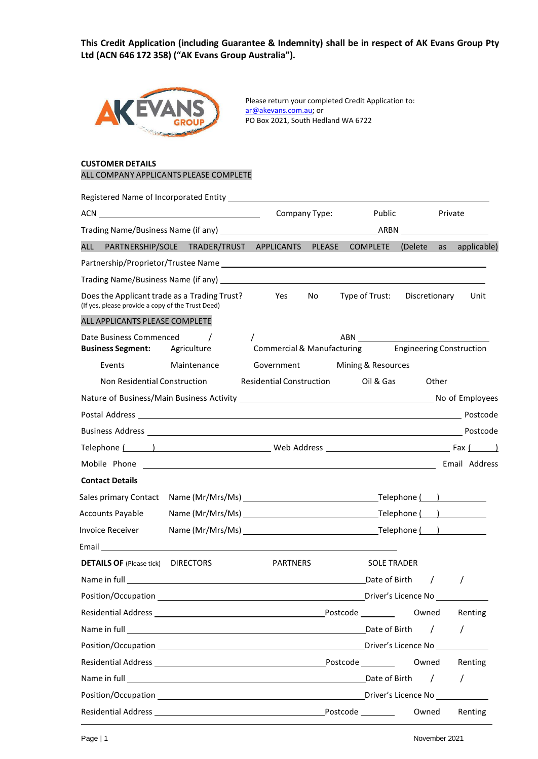**This Credit Application (including Guarantee & Indemnity) shall be in respect of AK Evans Group Pty Ltd (ACN 646 172 358) ("AK Evans Group Australia").**



Please return your completed Credit Application to: [ar@akevans.com.au;](mailto:ar@akevans.com.au) or PO Box 2021, South Hedland WA 6722

## **CUSTOMER DETAILS** ALL COMPANY APPLICANTS PLEASE COMPLETE

|                                                                                                                                                                                                                                      |             |  |                 | Company Type: | Public                                                                                                                 |                 | Private           |
|--------------------------------------------------------------------------------------------------------------------------------------------------------------------------------------------------------------------------------------|-------------|--|-----------------|---------------|------------------------------------------------------------------------------------------------------------------------|-----------------|-------------------|
|                                                                                                                                                                                                                                      |             |  |                 |               |                                                                                                                        |                 |                   |
| ALL<br>PARTNERSHIP/SOLE TRADER/TRUST APPLICANTS PLEASE                                                                                                                                                                               |             |  |                 |               | <b>COMPLETE</b>                                                                                                        | (Delete         | applicable)<br>as |
|                                                                                                                                                                                                                                      |             |  |                 |               |                                                                                                                        |                 |                   |
|                                                                                                                                                                                                                                      |             |  |                 |               |                                                                                                                        |                 |                   |
| Does the Applicant trade as a Trading Trust? Nes No Type of Trust:<br>(If yes, please provide a copy of the Trust Deed)                                                                                                              |             |  |                 |               |                                                                                                                        | Discretionary   | Unit              |
| ALL APPLICANTS PLEASE COMPLETE                                                                                                                                                                                                       |             |  |                 |               |                                                                                                                        |                 |                   |
| Date Business Commenced<br><b>Business Segment:</b>                                                                                                                                                                                  | Agriculture |  |                 |               | Commercial & Manufacturing Engineering Construction                                                                    |                 |                   |
| Events                                                                                                                                                                                                                               | Maintenance |  | Government      |               | Mining & Resources                                                                                                     |                 |                   |
| Non Residential Construction Residential Construction                                                                                                                                                                                |             |  |                 |               | Oil & Gas                                                                                                              |                 | Other             |
|                                                                                                                                                                                                                                      |             |  |                 |               |                                                                                                                        |                 |                   |
|                                                                                                                                                                                                                                      |             |  |                 |               |                                                                                                                        |                 |                   |
|                                                                                                                                                                                                                                      |             |  |                 |               |                                                                                                                        |                 | Postcode          |
|                                                                                                                                                                                                                                      |             |  |                 |               |                                                                                                                        |                 |                   |
|                                                                                                                                                                                                                                      |             |  |                 |               |                                                                                                                        |                 |                   |
| <b>Contact Details</b>                                                                                                                                                                                                               |             |  |                 |               |                                                                                                                        |                 |                   |
|                                                                                                                                                                                                                                      |             |  |                 |               |                                                                                                                        |                 |                   |
| Accounts Payable                                                                                                                                                                                                                     |             |  |                 |               |                                                                                                                        |                 |                   |
| Invoice Receiver                                                                                                                                                                                                                     |             |  |                 |               |                                                                                                                        |                 |                   |
|                                                                                                                                                                                                                                      |             |  |                 |               |                                                                                                                        |                 |                   |
| <b>DETAILS OF (Please tick) DIRECTORS</b>                                                                                                                                                                                            |             |  | <b>PARTNERS</b> |               | <b>SOLE TRADER</b>                                                                                                     |                 |                   |
|                                                                                                                                                                                                                                      |             |  |                 |               | Date of Birth                                                                                                          | $\prime$        | $\prime$          |
| Position/Occupation __________                                                                                                                                                                                                       |             |  |                 |               | <b>Marshall Denote Controller Controller Controller Controller Controller Controller Controller Controller Control</b> |                 |                   |
|                                                                                                                                                                                                                                      |             |  |                 |               |                                                                                                                        |                 | Renting           |
|                                                                                                                                                                                                                                      |             |  |                 |               | Date of Birth                                                                                                          | $\frac{1}{2}$   | $\overline{1}$    |
|                                                                                                                                                                                                                                      |             |  |                 |               |                                                                                                                        |                 |                   |
| Residential Address <b>Contract Contract Contract Contract Contract Contract Contract Contract Contract Contract Contract Contract Contract Contract Contract Contract Contract Contract Contract Contract Contract Contract Con</b> |             |  |                 |               |                                                                                                                        |                 | Renting           |
| Name in full subsequently and the same in the same in the same in the same in the same in the same in the same in the same in the same in the same in the same in the same in the same in the same in the same in the same in        |             |  |                 |               |                                                                                                                        | Date of Birth / | $\prime$          |
|                                                                                                                                                                                                                                      |             |  |                 |               |                                                                                                                        |                 |                   |
|                                                                                                                                                                                                                                      |             |  |                 |               |                                                                                                                        | Owned           | Renting           |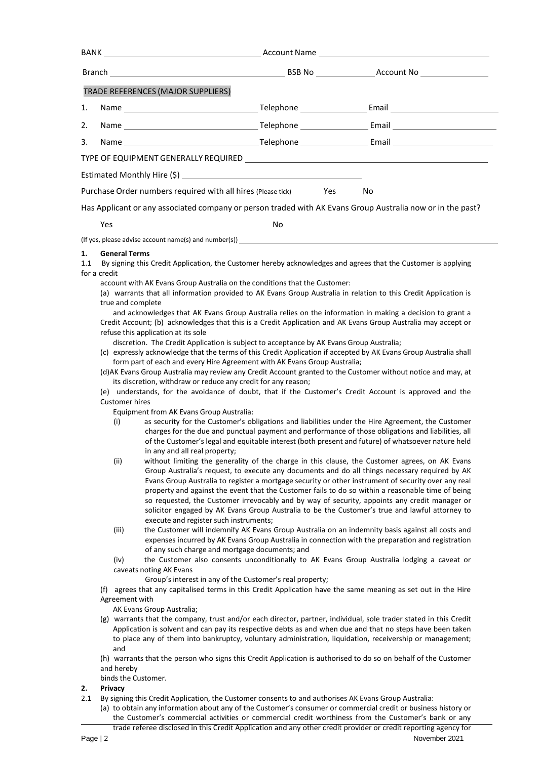| <b>TRADE REFERENCES (MAJOR SUPPLIERS)</b>                                                                  |  |
|------------------------------------------------------------------------------------------------------------|--|
|                                                                                                            |  |
|                                                                                                            |  |
|                                                                                                            |  |
| TYPE OF EQUIPMENT GENERALLY REQUIRED THE REAL PROPERTY OF EXAMPLE AND THE REAL PROPERTY OF REAL PROPERTY.  |  |
|                                                                                                            |  |
| Purchase Order numbers required with all hires (Please tick) Yes No                                        |  |
| Has Applicant or any associated company or person traded with AK Evans Group Australia now or in the past? |  |

**Yes** Note that the Notation of the Notation of the Notation of the Notation of the Notation of the Notation of the Notation of the Notation of the Notation of the Notation of the Notation of the Notation of the Notation o

(If yes, please advise account name(s) and number(s))

### **1. General Terms**

1.1 By signing this Credit Application, the Customer hereby acknowledges and agrees that the Customer is applying for a credit

account with AK Evans Group Australia on the conditions that the Customer:

(a) warrants that all information provided to AK Evans Group Australia in relation to this Credit Application is true and complete

and acknowledges that AK Evans Group Australia relies on the information in making a decision to grant a Credit Account; (b) acknowledges that this is a Credit Application and AK Evans Group Australia may accept or refuse this application at its sole

- discretion. The Credit Application is subject to acceptance by AK Evans Group Australia;
- (c) expressly acknowledge that the terms of this Credit Application if accepted by AK Evans Group Australia shall form part of each and every Hire Agreement with AK Evans Group Australia;
- (d)AK Evans Group Australia may review any Credit Account granted to the Customer without notice and may, at its discretion, withdraw or reduce any credit for any reason;

(e) understands, for the avoidance of doubt, that if the Customer's Credit Account is approved and the Customer hires

Equipment from AK Evans Group Australia:

- (i) as security for the Customer's obligations and liabilities under the Hire Agreement, the Customer charges for the due and punctual payment and performance of those obligations and liabilities, all of the Customer's legal and equitable interest (both present and future) of whatsoever nature held in any and all real property;
- (ii) without limiting the generality of the charge in this clause, the Customer agrees, on AK Evans Group Australia's request, to execute any documents and do all things necessary required by AK Evans Group Australia to register a mortgage security or other instrument of security over any real property and against the event that the Customer fails to do so within a reasonable time of being so requested, the Customer irrevocably and by way of security, appoints any credit manager or solicitor engaged by AK Evans Group Australia to be the Customer's true and lawful attorney to execute and register such instruments;
- (iii) the Customer will indemnify AK Evans Group Australia on an indemnity basis against all costs and expenses incurred by AK Evans Group Australia in connection with the preparation and registration of any such charge and mortgage documents; and
- (iv) the Customer also consents unconditionally to AK Evans Group Australia lodging a caveat or caveats noting AK Evans

Group's interest in any of the Customer's real property;

(f) agrees that any capitalised terms in this Credit Application have the same meaning as set out in the Hire Agreement with

- AK Evans Group Australia;
- (g) warrants that the company, trust and/or each director, partner, individual, sole trader stated in this Credit Application is solvent and can pay its respective debts as and when due and that no steps have been taken to place any of them into bankruptcy, voluntary administration, liquidation, receivership or management; and

(h) warrants that the person who signs this Credit Application is authorised to do so on behalf of the Customer and hereby

binds the Customer.

- **2. Privacy**
- 2.1 By signing this Credit Application, the Customer consents to and authorises AK Evans Group Australia:

(a) to obtain any information about any of the Customer's consumer or commercial credit or business history or the Customer's commercial activities or commercial credit worthiness from the Customer's bank or any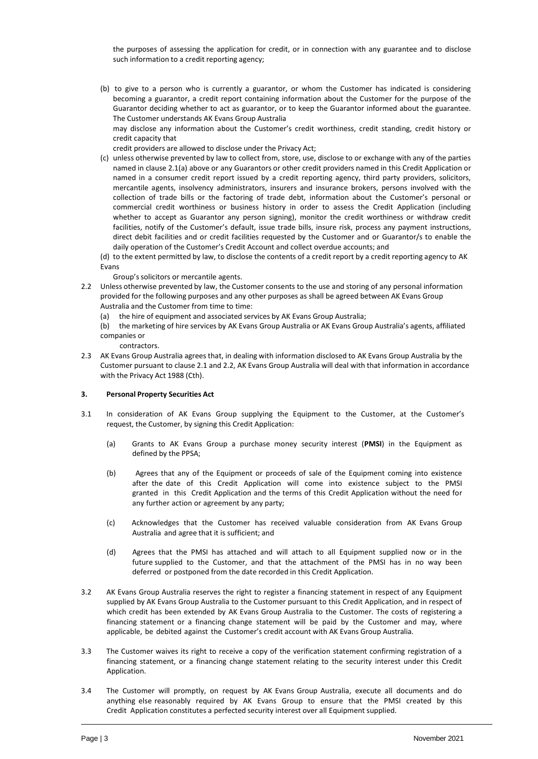the purposes of assessing the application for credit, or in connection with any guarantee and to disclose such information to a credit reporting agency;

(b) to give to a person who is currently a guarantor, or whom the Customer has indicated is considering becoming a guarantor, a credit report containing information about the Customer for the purpose of the Guarantor deciding whether to act as guarantor, or to keep the Guarantor informed about the guarantee. The Customer understands AK Evans Group Australia

may disclose any information about the Customer's credit worthiness, credit standing, credit history or credit capacity that

credit providers are allowed to disclose under the Privacy Act;

- (c) unless otherwise prevented by law to collect from, store, use, disclose to or exchange with any of the parties named in clause 2.1(a) above or any Guarantors or other credit providers named in this Credit Application or named in a consumer credit report issued by a credit reporting agency, third party providers, solicitors, mercantile agents, insolvency administrators, insurers and insurance brokers, persons involved with the collection of trade bills or the factoring of trade debt, information about the Customer's personal or commercial credit worthiness or business history in order to assess the Credit Application (including whether to accept as Guarantor any person signing), monitor the credit worthiness or withdraw credit facilities, notify of the Customer's default, issue trade bills, insure risk, process any payment instructions, direct debit facilities and or credit facilities requested by the Customer and or Guarantor/s to enable the daily operation of the Customer's Credit Account and collect overdue accounts; and
- (d) to the extent permitted by law, to disclose the contents of a credit report by a credit reporting agency to AK Evans

Group's solicitors or mercantile agents.

- 2.2 Unless otherwise prevented by law, the Customer consents to the use and storing of any personal information provided for the following purposes and any other purposes as shall be agreed between AK Evans Group Australia and the Customer from time to time:
	- (a) the hire of equipment and associated services by AK Evans Group Australia;
	- (b) the marketing of hire services by AK Evans Group Australia or AK Evans Group Australia's agents, affiliated companies or

contractors.

2.3 AK Evans Group Australia agrees that, in dealing with information disclosed to AK Evans Group Australia by the Customer pursuant to clause 2.1 and 2.2, AK Evans Group Australia will deal with that information in accordance with the Privacy Act 1988 (Cth).

### **3. Personal Property Securities Act**

- 3.1 In consideration of AK Evans Group supplying the Equipment to the Customer, at the Customer's request, the Customer, by signing this Credit Application:
	- (a) Grants to AK Evans Group a purchase money security interest (**PMSI**) in the Equipment as defined by the PPSA;
	- (b) Agrees that any of the Equipment or proceeds of sale of the Equipment coming into existence after the date of this Credit Application will come into existence subject to the PMSI granted in this Credit Application and the terms of this Credit Application without the need for any further action or agreement by any party;
	- (c) Acknowledges that the Customer has received valuable consideration from AK Evans Group Australia and agree that it is sufficient; and
	- (d) Agrees that the PMSI has attached and will attach to all Equipment supplied now or in the future supplied to the Customer, and that the attachment of the PMSI has in no way been deferred or postponed from the date recorded in this Credit Application.
- 3.2 AK Evans Group Australia reserves the right to register a financing statement in respect of any Equipment supplied by AK Evans Group Australia to the Customer pursuant to this Credit Application, and in respect of which credit has been extended by AK Evans Group Australia to the Customer. The costs of registering a financing statement or a financing change statement will be paid by the Customer and may, where applicable, be debited against the Customer's credit account with AK Evans Group Australia.
- 3.3 The Customer waives its right to receive a copy of the verification statement confirming registration of a financing statement, or a financing change statement relating to the security interest under this Credit Application.
- 3.4 The Customer will promptly, on request by AK Evans Group Australia, execute all documents and do anything else reasonably required by AK Evans Group to ensure that the PMSI created by this Credit Application constitutes a perfected security interest over all Equipment supplied.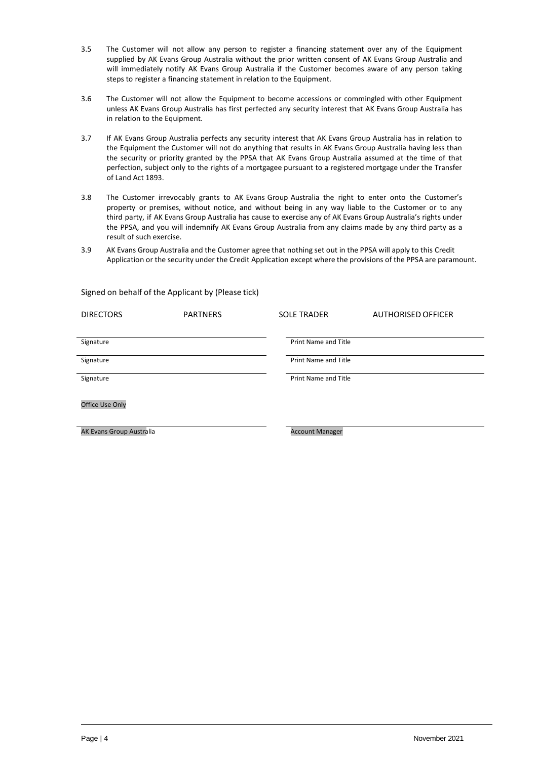- 3.5 The Customer will not allow any person to register a financing statement over any of the Equipment supplied by AK Evans Group Australia without the prior written consent of AK Evans Group Australia and will immediately notify AK Evans Group Australia if the Customer becomes aware of any person taking steps to register a financing statement in relation to the Equipment.
- 3.6 The Customer will not allow the Equipment to become accessions or commingled with other Equipment unless AK Evans Group Australia has first perfected any security interest that AK Evans Group Australia has in relation to the Equipment.
- 3.7 If AK Evans Group Australia perfects any security interest that AK Evans Group Australia has in relation to the Equipment the Customer will not do anything that results in AK Evans Group Australia having less than the security or priority granted by the PPSA that AK Evans Group Australia assumed at the time of that perfection, subject only to the rights of a mortgagee pursuant to a registered mortgage under the Transfer of Land Act 1893.
- 3.8 The Customer irrevocably grants to AK Evans Group Australia the right to enter onto the Customer's property or premises, without notice, and without being in any way liable to the Customer or to any third party, if AK Evans Group Australia has cause to exercise any of AK Evans Group Australia's rights under the PPSA, and you will indemnify AK Evans Group Australia from any claims made by any third party as a result of such exercise.
- 3.9 AK Evans Group Australia and the Customer agree that nothing set out in the PPSA will apply to this Credit Application or the security under the Credit Application except where the provisions of the PPSA are paramount.

| <b>DIRECTORS</b>         | <b>PARTNERS</b> | <b>SOLE TRADER</b>          | <b>AUTHORISED OFFICER</b> |
|--------------------------|-----------------|-----------------------------|---------------------------|
| Signature                |                 | <b>Print Name and Title</b> |                           |
| Signature                |                 | Print Name and Title        |                           |
| Signature                |                 | Print Name and Title        |                           |
| Office Use Only          |                 |                             |                           |
| AK Evans Group Australia |                 | <b>Account Manager</b>      |                           |

Signed on behalf of the Applicant by (Please tick)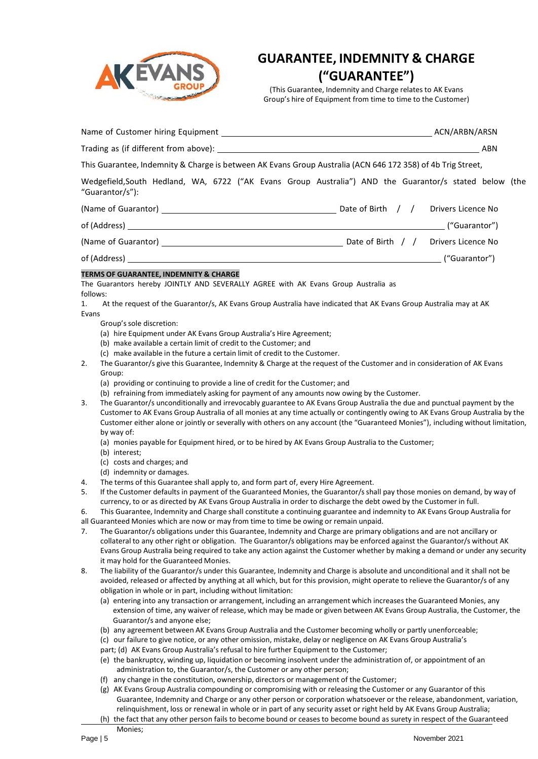

# **GUARANTEE, INDEMNITY & CHARGE ("GUARANTEE")**

(This Guarantee, Indemnity and Charge relates to AK Evans Group's hire of Equipment from time to time to the Customer)

|                                                                   |                                                                                                                           | <b>ABN</b>    |
|-------------------------------------------------------------------|---------------------------------------------------------------------------------------------------------------------------|---------------|
|                                                                   | This Guarantee, Indemnity & Charge is between AK Evans Group Australia (ACN 646 172 358) of 4b Trig Street,               |               |
| "Guarantor/s"):                                                   | Wedgefield, South Hedland, WA, 6722 ("AK Evans Group Australia") AND the Guarantor/s stated below (the                    |               |
|                                                                   |                                                                                                                           |               |
|                                                                   |                                                                                                                           | ("Guarantor") |
|                                                                   |                                                                                                                           |               |
|                                                                   |                                                                                                                           |               |
| <b>TERMS OF GUARANTEE, INDEMNITY &amp; CHARGE</b>                 |                                                                                                                           |               |
| follows:                                                          | The Guarantors hereby JOINTLY AND SEVERALLY AGREE with AK Evans Group Australia as                                        |               |
| 1.                                                                | At the request of the Guarantor/s, AK Evans Group Australia have indicated that AK Evans Group Australia may at AK        |               |
| Evans                                                             |                                                                                                                           |               |
| Group's sole discretion:                                          |                                                                                                                           |               |
|                                                                   | (a) hire Equipment under AK Evans Group Australia's Hire Agreement;                                                       |               |
| (b) make available a certain limit of credit to the Customer; and |                                                                                                                           |               |
|                                                                   | (c) make available in the future a certain limit of credit to the Customer.                                               |               |
| 2.<br>Group:                                                      | The Guarantor/s give this Guarantee, Indemnity & Charge at the request of the Customer and in consideration of AK Evans   |               |
|                                                                   | (a) providing or continuing to provide a line of credit for the Customer; and                                             |               |
|                                                                   | (b) refraining from immediately asking for payment of any amounts now owing by the Customer.                              |               |
| 3.                                                                | The Guarantor/s unconditionally and irrevocably guarantee to AK Evans Group Australia the due and punctual payment by the |               |

- 3. The Guarantor/s unconditionally and irrevocably guarantee to AK Evans Group Australia the due and punctual payment by the Customer to AK Evans Group Australia of all monies at any time actually or contingently owing to AK Evans Group Australia by the Customer either alone or jointly or severally with others on any account (the "Guaranteed Monies"), including without limitation, by way of:
	- (a) monies payable for Equipment hired, or to be hired by AK Evans Group Australia to the Customer;
	- (b) interest;
	- (c) costs and charges; and
	- (d) indemnity or damages.
- 4. The terms of this Guarantee shall apply to, and form part of, every Hire Agreement.
- 5. If the Customer defaults in payment of the Guaranteed Monies, the Guarantor/sshall pay those monies on demand, by way of currency, to or as directed by AK Evans Group Australia in order to discharge the debt owed by the Customer in full.
- 6. This Guarantee, Indemnity and Charge shall constitute a continuing guarantee and indemnity to AK Evans Group Australia for
- all Guaranteed Monies which are now or may from time to time be owing or remain unpaid.
- 7. The Guarantor/s obligations under this Guarantee, Indemnity and Charge are primary obligations and are not ancillary or collateral to any other right or obligation. The Guarantor/s obligations may be enforced against the Guarantor/s without AK Evans Group Australia being required to take any action against the Customer whether by making a demand or under any security it may hold for the Guaranteed Monies.
- 8. The liability of the Guarantor/s under this Guarantee, Indemnity and Charge is absolute and unconditional and it shall not be avoided, released or affected by anything at all which, but for this provision, might operate to relieve the Guarantor/s of any obligation in whole or in part, including without limitation:
	- (a) entering into any transaction or arrangement, including an arrangement which increases the Guaranteed Monies, any extension of time, any waiver of release, which may be made or given between AK Evans Group Australia, the Customer, the Guarantor/s and anyone else;
	- (b) any agreement between AK Evans Group Australia and the Customer becoming wholly or partly unenforceable;
	- (c) our failure to give notice, or any other omission, mistake, delay or negligence on AK Evans Group Australia's
	- part; (d) AK Evans Group Australia's refusal to hire further Equipment to the Customer;
	- (e) the bankruptcy, winding up, liquidation or becoming insolvent under the administration of, or appointment of an administration to, the Guarantor/s, the Customer or any other person;
	- (f) any change in the constitution, ownership, directors or management of the Customer;
	- (g) AK Evans Group Australia compounding or compromising with or releasing the Customer or any Guarantor of this Guarantee, Indemnity and Charge or any other person or corporation whatsoever or the release, abandonment, variation, relinquishment, loss or renewal in whole or in part of any security asset or right held by AK Evans Group Australia;
	- (h) the fact that any other person fails to become bound or ceases to become bound as surety in respect of the Guaranteed Monies;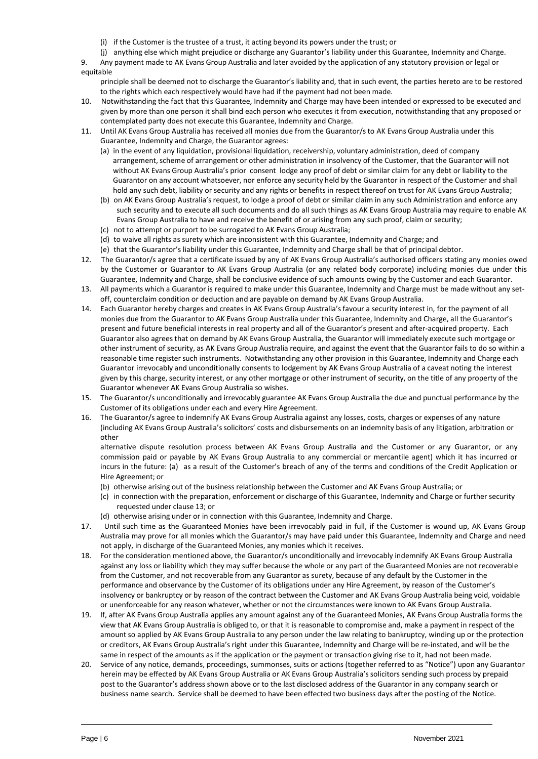- (i) if the Customer is the trustee of a trust, it acting beyond its powers under the trust; or
- (j) anything else which might prejudice or discharge any Guarantor's liability under this Guarantee, Indemnity and Charge.
- 9. Any payment made to AK Evans Group Australia and later avoided by the application of any statutory provision or legal or
- equitable

principle shall be deemed not to discharge the Guarantor's liability and, that in such event, the parties hereto are to be restored to the rights which each respectively would have had if the payment had not been made.

- 10. Notwithstanding the fact that this Guarantee, Indemnity and Charge may have been intended or expressed to be executed and given by more than one person it shall bind each person who executes it from execution, notwithstanding that any proposed or contemplated party does not execute this Guarantee, Indemnity and Charge.
- 11. Until AK Evans Group Australia has received all monies due from the Guarantor/s to AK Evans Group Australia under this Guarantee, Indemnity and Charge, the Guarantor agrees:
	- (a) in the event of any liquidation, provisional liquidation, receivership, voluntary administration, deed of company arrangement, scheme of arrangement or other administration in insolvency of the Customer, that the Guarantor will not without AK Evans Group Australia's prior consent lodge any proof of debt or similar claim for any debt or liability to the Guarantor on any account whatsoever, nor enforce any security held by the Guarantor in respect of the Customer and shall hold any such debt, liability or security and any rights or benefits in respect thereof on trust for AK Evans Group Australia;
	- (b) on AK Evans Group Australia's request, to lodge a proof of debt or similar claim in any such Administration and enforce any such security and to execute all such documents and do all such things as AK Evans Group Australia may require to enable AK Evans Group Australia to have and receive the benefit of or arising from any such proof, claim or security;
	- (c) not to attempt or purport to be surrogated to AK Evans Group Australia;
	- (d) to waive all rights as surety which are inconsistent with this Guarantee, Indemnity and Charge; and
	- (e) that the Guarantor's liability under this Guarantee, Indemnity and Charge shall be that of principal debtor.
- 12. The Guarantor/s agree that a certificate issued by any of AK Evans Group Australia's authorised officers stating any monies owed by the Customer or Guarantor to AK Evans Group Australia (or any related body corporate) including monies due under this Guarantee, Indemnity and Charge, shall be conclusive evidence of such amounts owing by the Customer and each Guarantor.
- 13. All payments which a Guarantor is required to make under this Guarantee, Indemnity and Charge must be made without any setoff, counterclaim condition or deduction and are payable on demand by AK Evans Group Australia.
- 14. Each Guarantor hereby charges and creates in AK Evans Group Australia's favour a security interest in, for the payment of all monies due from the Guarantor to AK Evans Group Australia under this Guarantee, Indemnity and Charge, all the Guarantor's present and future beneficial interests in real property and all of the Guarantor's present and after-acquired property. Each Guarantor also agrees that on demand by AK Evans Group Australia, the Guarantor will immediately execute such mortgage or other instrument of security, as AK Evans Group Australia require, and against the event that the Guarantor fails to do so within a reasonable time register such instruments. Notwithstanding any other provision in this Guarantee, Indemnity and Charge each Guarantor irrevocably and unconditionally consents to lodgement by AK Evans Group Australia of a caveat noting the interest given by this charge, security interest, or any other mortgage or other instrument of security, on the title of any property of the Guarantor whenever AK Evans Group Australia so wishes.
- 15. The Guarantor/s unconditionally and irrevocably guarantee AK Evans Group Australia the due and punctual performance by the Customer of its obligations under each and every Hire Agreement.
- 16. The Guarantor/s agree to indemnify AK Evans Group Australia against any losses, costs, charges or expenses of any nature (including AK Evans Group Australia's solicitors' costs and disbursements on an indemnity basis of any litigation, arbitration or other

alternative dispute resolution process between AK Evans Group Australia and the Customer or any Guarantor, or any commission paid or payable by AK Evans Group Australia to any commercial or mercantile agent) which it has incurred or incurs in the future: (a) as a result of the Customer's breach of any of the terms and conditions of the Credit Application or Hire Agreement; or

- (b) otherwise arising out of the business relationship between the Customer and AK Evans Group Australia; or
- (c) in connection with the preparation, enforcement or discharge of this Guarantee, Indemnity and Charge or further security requested under clause 13; or
- (d) otherwise arising under or in connection with this Guarantee, Indemnity and Charge.
- 17. Until such time as the Guaranteed Monies have been irrevocably paid in full, if the Customer is wound up, AK Evans Group Australia may prove for all monies which the Guarantor/s may have paid under this Guarantee, Indemnity and Charge and need not apply, in discharge of the Guaranteed Monies, any monies which it receives.
- 18. For the consideration mentioned above, the Guarantor/s unconditionally and irrevocably indemnify AK Evans Group Australia against any loss or liability which they may suffer because the whole or any part of the Guaranteed Monies are not recoverable from the Customer, and not recoverable from any Guarantor as surety, because of any default by the Customer in the performance and observance by the Customer of its obligations under any Hire Agreement, by reason of the Customer's insolvency or bankruptcy or by reason of the contract between the Customer and AK Evans Group Australia being void, voidable or unenforceable for any reason whatever, whether or not the circumstances were known to AK Evans Group Australia.
- 19. If, after AK Evans Group Australia applies any amount against any of the Guaranteed Monies, AK Evans Group Australia forms the view that AK Evans Group Australia is obliged to, or that it is reasonable to compromise and, make a payment in respect of the amount so applied by AK Evans Group Australia to any person under the law relating to bankruptcy, winding up or the protection or creditors, AK Evans Group Australia's right under this Guarantee, Indemnity and Charge will be re-instated, and will be the same in respect of the amounts as if the application or the payment or transaction giving rise to it, had not been made.
- 20. Service of any notice, demands, proceedings, summonses, suits or actions (together referred to as "Notice") upon any Guarantor herein may be effected by AK Evans Group Australia or AK Evans Group Australia's solicitors sending such process by prepaid post to the Guarantor's address shown above or to the last disclosed address of the Guarantor in any company search or business name search. Service shall be deemed to have been effected two business days after the posting of the Notice.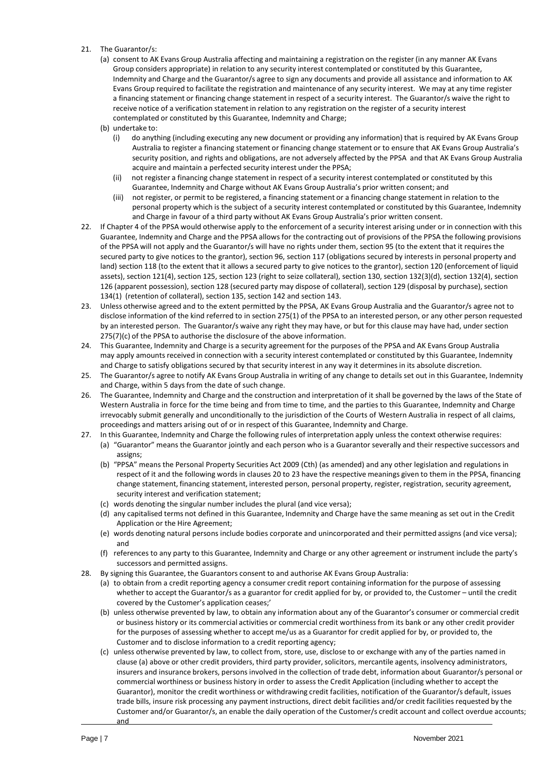- 21. The Guarantor/s:
	- (a) consent to AK Evans Group Australia affecting and maintaining a registration on the register (in any manner AK Evans Group considers appropriate) in relation to any security interest contemplated or constituted by this Guarantee, Indemnity and Charge and the Guarantor/s agree to sign any documents and provide all assistance and information to AK Evans Group required to facilitate the registration and maintenance of any security interest. We may at any time register a financing statement or financing change statement in respect of a security interest. The Guarantor/s waive the right to receive notice of a verification statement in relation to any registration on the register of a security interest contemplated or constituted by this Guarantee, Indemnity and Charge;
	- (b) undertake to:
		- (i) do anything (including executing any new document or providing any information) that is required by AK Evans Group Australia to register a financing statement or financing change statement or to ensure that AK Evans Group Australia's security position, and rights and obligations, are not adversely affected by the PPSA and that AK Evans Group Australia acquire and maintain a perfected security interest under the PPSA;
		- (ii) not register a financing change statement in respect of a security interest contemplated or constituted by this Guarantee, Indemnity and Charge without AK Evans Group Australia's prior written consent; and
		- (iii) not register, or permit to be registered, a financing statement or a financing change statement in relation to the personal property which is the subject of a security interest contemplated or constituted by this Guarantee, Indemnity and Charge in favour of a third party without AK Evans Group Australia's prior written consent.
- 22. If Chapter 4 of the PPSA would otherwise apply to the enforcement of a security interest arising under or in connection with this Guarantee, Indemnity and Charge and the PPSA allows for the contracting out of provisions of the PPSA the following provisions of the PPSA will not apply and the Guarantor/s will have no rights under them, section 95 (to the extent that it requires the secured party to give notices to the grantor), section 96, section 117 (obligations secured by interests in personal property and land) section 118 (to the extent that it allows a secured party to give notices to the grantor), section 120 (enforcement of liquid assets), section 121(4), section 125, section 123 (right to seize collateral), section 130, section 132(3)(d), section 132(4), section 126 (apparent possession), section 128 (secured party may dispose of collateral), section 129 (disposal by purchase), section 134(1) (retention of collateral), section 135, section 142 and section 143.
- 23. Unless otherwise agreed and to the extent permitted by the PPSA, AK Evans Group Australia and the Guarantor/s agree not to disclose information of the kind referred to in section 275(1) of the PPSA to an interested person, or any other person requested by an interested person. The Guarantor/s waive any right they may have, or but for this clause may have had, under section 275(7)(c) of the PPSA to authorise the disclosure of the above information.
- 24. This Guarantee, Indemnity and Charge is a security agreement for the purposes of the PPSA and AK Evans Group Australia may apply amounts received in connection with a security interest contemplated or constituted by this Guarantee, Indemnity and Charge to satisfy obligations secured by that security interest in any way it determinesin its absolute discretion.
- 25. The Guarantor/s agree to notify AK Evans Group Australia in writing of any change to details set out in this Guarantee, Indemnity and Charge, within 5 days from the date of such change.
- 26. The Guarantee, Indemnity and Charge and the construction and interpretation of it shall be governed by the laws of the State of Western Australia in force for the time being and from time to time, and the parties to this Guarantee, Indemnity and Charge irrevocably submit generally and unconditionally to the jurisdiction of the Courts of Western Australia in respect of all claims, proceedings and matters arising out of or in respect of this Guarantee, Indemnity and Charge.
- 27. In this Guarantee, Indemnity and Charge the following rules of interpretation apply unless the context otherwise requires:
	- (a) "Guarantor" means the Guarantor jointly and each person who is a Guarantor severally and their respective successors and assigns;
	- (b) "PPSA" means the Personal Property Securities Act 2009 (Cth) (as amended) and any other legislation and regulations in respect of it and the following words in clauses 20 to 23 have the respective meanings given to them in the PPSA, financing change statement, financing statement, interested person, personal property, register, registration, security agreement, security interest and verification statement;
	- (c) words denoting the singular number includes the plural (and vice versa);
	- (d) any capitalised terms not defined in this Guarantee, Indemnity and Charge have the same meaning as set out in the Credit Application or the Hire Agreement;
	- (e) words denoting natural persons include bodies corporate and unincorporated and their permitted assigns (and vice versa); and
	- (f) references to any party to this Guarantee, Indemnity and Charge or any other agreement or instrument include the party's successors and permitted assigns.
- 28. By signing this Guarantee, the Guarantors consent to and authorise AK Evans Group Australia:
	- (a) to obtain from a credit reporting agency a consumer credit report containing information for the purpose of assessing whether to accept the Guarantor/s as a guarantor for credit applied for by, or provided to, the Customer – until the credit covered by the Customer's application ceases;'
	- (b) unless otherwise prevented by law, to obtain any information about any of the Guarantor's consumer or commercial credit or business history or its commercial activities or commercial credit worthiness from its bank or any other credit provider for the purposes of assessing whether to accept me/us as a Guarantor for credit applied for by, or provided to, the Customer and to disclose information to a credit reporting agency;
	- (c) unless otherwise prevented by law, to collect from, store, use, disclose to or exchange with any of the parties named in clause (a) above or other credit providers, third party provider, solicitors, mercantile agents, insolvency administrators, insurers and insurance brokers, persons involved in the collection of trade debt, information about Guarantor/s personal or commercial worthiness or business history in order to assess the Credit Application (including whether to accept the Guarantor), monitor the credit worthiness or withdrawing credit facilities, notification of the Guarantor/s default, issues trade bills, insure risk processing any payment instructions, direct debit facilities and/or credit facilities requested by the Customer and/or Guarantor/s, an enable the daily operation of the Customer/s credit account and collect overdue accounts; and